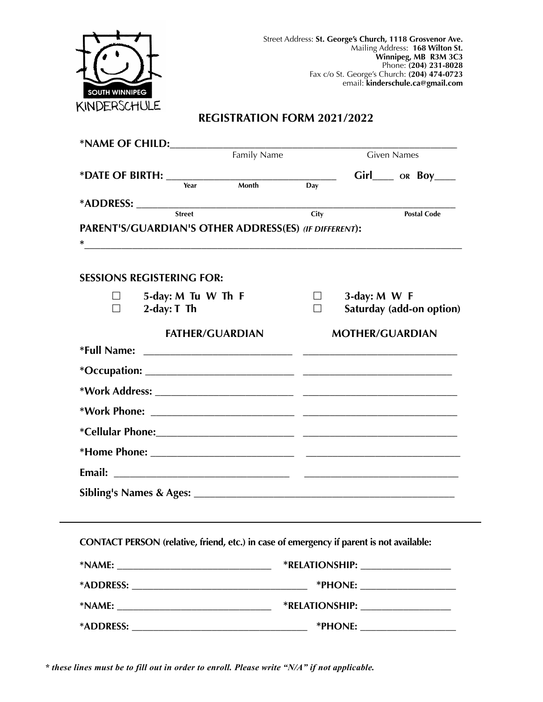

# **REGISTRATION FORM 2021/2022**

|   | *NAME OF CHILD:                                                                                                                                                               |             |      |                        |                                    |
|---|-------------------------------------------------------------------------------------------------------------------------------------------------------------------------------|-------------|------|------------------------|------------------------------------|
|   |                                                                                                                                                                               | Family Name |      |                        | <b>Given Names</b>                 |
|   |                                                                                                                                                                               |             |      |                        | Girl_____ OR BOY____               |
|   | Year                                                                                                                                                                          | Month       | Day  |                        |                                    |
|   | <b>Street</b>                                                                                                                                                                 |             | City |                        | <b>Postal Code</b>                 |
|   | PARENT'S/GUARDIAN'S OTHER ADDRESS(ES) (IF DIFFERENT):<br><u> 1989 - Johann John Stone, markin sanat masjid ayyı bir alan sanat masjid ayyı bir alan sanat masjid ayyı bir</u> |             |      |                        |                                    |
|   | <b>SESSIONS REGISTERING FOR:</b>                                                                                                                                              |             |      |                        |                                    |
| П | 5-day: M Tu W Th F<br>$2$ -day: $T$ Th                                                                                                                                        |             | ш    | $3$ -day: M W F        | Saturday (add-on option)           |
|   | <b>FATHER/GUARDIAN</b>                                                                                                                                                        |             |      | <b>MOTHER/GUARDIAN</b> |                                    |
|   |                                                                                                                                                                               |             |      |                        |                                    |
|   |                                                                                                                                                                               |             |      |                        |                                    |
|   |                                                                                                                                                                               |             |      |                        |                                    |
|   |                                                                                                                                                                               |             |      |                        |                                    |
|   |                                                                                                                                                                               |             |      |                        |                                    |
|   |                                                                                                                                                                               |             |      |                        |                                    |
|   |                                                                                                                                                                               |             |      |                        |                                    |
|   |                                                                                                                                                                               |             |      |                        |                                    |
|   |                                                                                                                                                                               |             |      |                        |                                    |
|   | CONTACT PERSON (relative, friend, etc.) in case of emergency if parent is not available:                                                                                      |             |      |                        |                                    |
|   |                                                                                                                                                                               |             |      |                        | *RELATIONSHIP: ___________________ |
|   |                                                                                                                                                                               |             |      |                        |                                    |
|   |                                                                                                                                                                               |             |      |                        |                                    |
|   |                                                                                                                                                                               |             |      |                        | *PHONE: ____________________       |

*\* these lines must be to fill out in order to enroll. Please write "N/A" if not applicable.*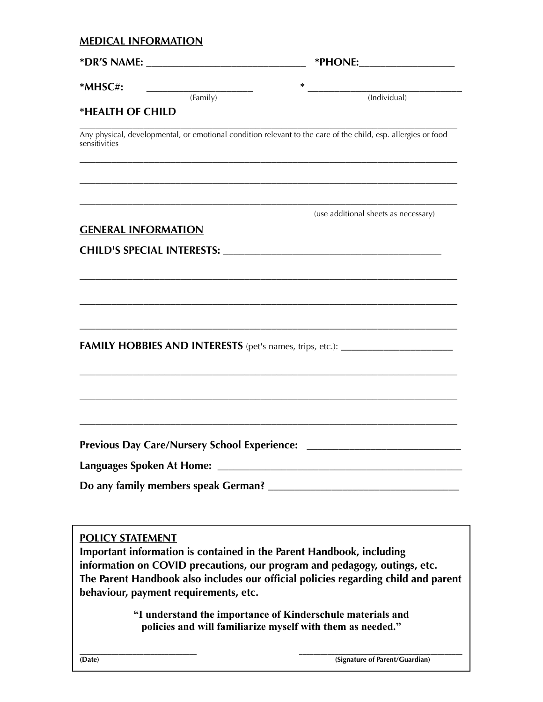# **MEDICAL INFORMATION**

| $*MHSC#$<br>(Family)                               | $\ast$<br>(Individual)                                                                                                                                                                                                                  |  |  |
|----------------------------------------------------|-----------------------------------------------------------------------------------------------------------------------------------------------------------------------------------------------------------------------------------------|--|--|
| *HEALTH OF CHILD                                   |                                                                                                                                                                                                                                         |  |  |
| sensitivities                                      | Any physical, developmental, or emotional condition relevant to the care of the child, esp. allergies or food                                                                                                                           |  |  |
|                                                    | (use additional sheets as necessary)                                                                                                                                                                                                    |  |  |
| <b>GENERAL INFORMATION</b>                         |                                                                                                                                                                                                                                         |  |  |
|                                                    |                                                                                                                                                                                                                                         |  |  |
|                                                    | <b>FAMILY HOBBIES AND INTERESTS</b> (pet's names, trips, etc.): ______________________                                                                                                                                                  |  |  |
| Previous Day Care/Nursery School Experience: _____ |                                                                                                                                                                                                                                         |  |  |
| <b>POLICY STATEMENT</b>                            | Important information is contained in the Parent Handbook, including<br>information on COVID precautions, our program and pedagogy, outings, etc.<br>The Parent Handbook also includes our official policies regarding child and parent |  |  |
| behaviour, payment requirements, etc.              | "I understand the importance of Kinderschule materials and                                                                                                                                                                              |  |  |

**policies and will familiarize myself with them as needed."**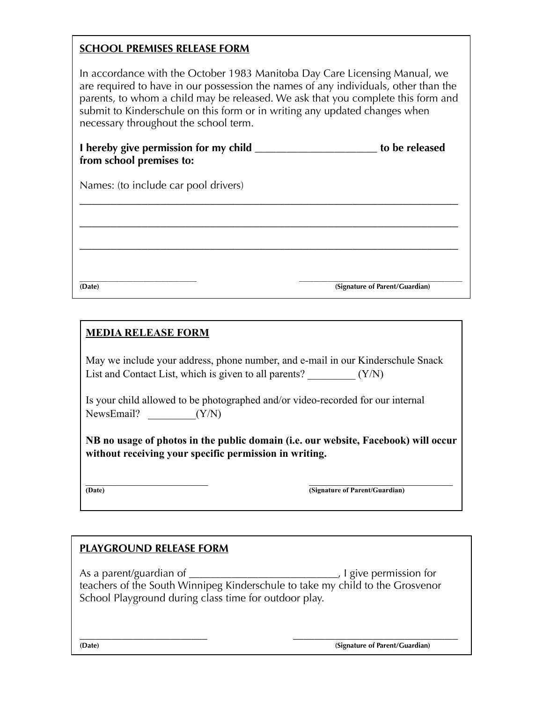# **SCHOOL PREMISES RELEASE FORM**

In accordance with the October 1983 Manitoba Day Care Licensing Manual, we are required to have in our possession the names of any individuals, other than the parents, to whom a child may be released. We ask that you complete this form and submit to Kinderschule on this form or in writing any updated changes when necessary throughout the school term.

| I hereby give permission for my child | to be released |
|---------------------------------------|----------------|
| from school premises to:              |                |

\_\_\_\_\_\_\_\_\_\_\_\_\_\_\_\_\_\_\_\_\_\_\_\_\_\_\_\_\_\_\_\_\_\_\_\_\_\_\_\_\_\_\_\_\_\_\_\_\_\_\_\_\_\_\_\_\_\_\_\_\_

\_\_\_\_\_\_\_\_\_\_\_\_\_\_\_\_\_\_\_\_\_\_\_\_\_\_\_\_\_\_\_\_\_\_\_\_\_\_\_\_\_\_\_\_\_\_\_\_\_\_\_\_\_\_\_\_\_\_\_\_\_

\_\_\_\_\_\_\_\_\_\_\_\_\_\_\_\_\_\_\_\_\_\_\_\_\_\_\_\_\_\_\_\_\_\_\_\_\_\_\_\_\_\_\_\_\_\_\_\_\_\_\_\_\_\_\_\_\_\_\_\_\_

Names: (to include car pool drivers)

**\_\_\_\_\_\_\_\_\_\_\_\_\_\_\_\_\_\_\_\_\_\_\_\_\_\_\_\_\_\_\_\_\_ \_\_\_\_\_\_\_\_\_\_\_\_\_\_\_\_\_\_\_\_\_\_\_\_\_\_\_\_\_\_\_\_\_\_\_\_\_\_\_\_\_\_\_\_\_\_ (Date) (Signature of Parent/Guardian)** 

# **MEDIA RELEASE FORM**

May we include your address, phone number, and e-mail in our Kinderschule Snack List and Contact List, which is given to all parents?  $(Y/N)$ 

Is your child allowed to be photographed and/or video-recorded for our internal NewsEmail?  $(Y/N)$ 

**NB no usage of photos in the public domain (i.e. our website, Facebook) will occur without receiving your specific permission in writing.** 

\_\_\_\_\_\_\_\_\_\_\_\_\_\_\_\_\_\_\_\_\_\_\_ \_\_\_\_\_\_\_\_\_\_\_\_\_\_\_\_\_\_\_\_\_\_\_\_\_\_\_ **(Signature of Parent/Guardian)** 

#### **PLAYGROUND RELEASE FORM**

As a parent/guardian of \_\_\_\_\_\_\_\_\_\_\_\_\_\_\_\_\_\_\_\_\_\_\_\_\_\_\_\_\_\_\_\_\_\_, I give permission for teachers of the South Winnipeg Kinderschule to take my child to the Grosvenor School Playground during class time for outdoor play.

**\_\_\_\_\_\_\_\_\_\_\_\_\_\_\_\_\_\_\_\_\_\_\_\_ \_\_\_\_\_\_\_\_\_\_\_\_\_\_\_\_\_\_\_\_\_\_\_\_\_\_\_\_\_\_\_ (Date) (Signature of Parent/Guardian)**